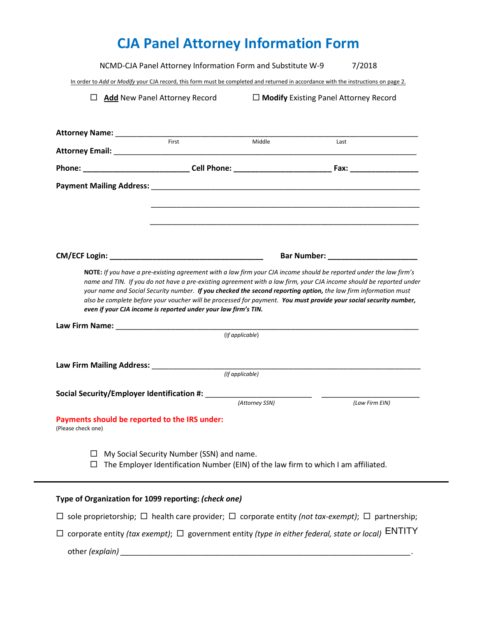# **CJA Panel Attorney Information Form**

NCMD-CJA Panel Attorney Information Form and Substitute W-9 7/2018 In order to *Add* or *Modify* your CJA record, this form must be completed and returned in accordance with the instructions on page 2. **Add** New Panel Attorney Record **Modify** Existing Panel Attorney Record **Attorney Name:** \_\_\_\_\_\_\_\_\_\_\_\_\_\_\_\_\_\_\_\_\_\_\_\_\_\_\_\_\_\_\_\_\_\_\_\_\_\_\_\_\_\_\_\_\_\_\_\_\_\_\_\_\_\_\_\_\_\_\_\_\_\_\_\_\_\_\_\_\_\_\_ First Middle Last **Attorney Email:** \_\_\_\_\_\_\_\_\_\_\_\_\_\_\_\_\_\_\_\_\_\_\_\_\_\_\_\_\_\_\_\_\_\_\_\_\_\_\_\_\_\_\_\_\_\_\_\_\_\_\_\_\_\_\_\_\_\_\_\_\_\_\_\_\_\_\_\_\_\_\_ **Phone: \_\_\_\_\_\_\_\_\_\_\_\_\_\_\_\_\_\_\_\_\_\_\_\_\_ Cell Phone: \_\_\_\_\_\_\_\_\_\_\_\_\_\_\_\_\_\_\_\_\_\_\_ Fax: \_\_\_\_\_\_\_\_\_\_\_\_\_\_\_\_ Payment Mailing Address:** \_\_\_\_\_\_\_\_\_\_\_\_\_\_\_\_\_\_\_\_\_\_\_\_\_\_\_\_\_\_\_\_\_\_\_\_\_\_\_\_\_\_\_\_\_\_\_\_\_\_\_\_\_\_\_\_\_\_\_\_\_\_\_ \_\_\_\_\_\_\_\_\_\_\_\_\_\_\_\_\_\_\_\_\_\_\_\_\_\_\_\_\_\_\_\_\_\_\_\_\_\_\_\_\_\_\_\_\_\_\_\_\_\_\_\_\_\_\_\_\_\_\_\_\_\_\_ \_\_\_\_\_\_\_\_\_\_\_\_\_\_\_\_\_\_\_\_\_\_\_\_\_\_\_\_\_\_\_\_\_\_\_\_\_\_\_\_\_\_\_\_\_\_\_\_\_\_\_\_\_\_\_\_\_\_\_\_\_\_\_ **CM/ECF Login: \_\_\_\_\_\_\_\_\_\_\_\_\_\_\_\_\_\_\_\_\_\_\_\_\_\_\_\_\_\_\_\_\_\_\_\_ Bar Number: \_\_\_\_\_\_\_\_\_\_\_\_\_\_\_\_\_\_\_\_\_ NOTE:** *If you have a pre-existing agreement with a law firm your CJA income should be reported under the law firm's name and TIN. If you do not have a pre-existing agreement with a law firm, your CJA income should be reported under your name and Social Security number. If you checked the second reporting option, the law firm information must also be complete before your voucher will be processed for payment. You must provide your social security number, even if your CJA income is reported under your law firm's TIN.* **Law Firm Name:** \_\_\_\_\_\_\_\_\_\_\_\_\_\_\_\_\_\_\_\_\_\_\_\_\_\_\_\_\_\_\_\_\_\_\_\_\_\_\_\_\_\_\_\_\_\_\_\_\_\_\_\_\_\_\_\_\_\_\_\_\_\_\_\_\_\_\_\_\_\_\_(I*f applicable*) **Law Firm Mailing Address:** \_\_\_\_\_\_\_\_\_\_\_\_\_\_\_\_\_\_\_\_\_\_\_\_\_\_\_\_\_\_\_\_\_\_\_\_\_\_\_\_\_\_\_\_\_\_\_\_\_\_\_\_\_\_\_\_\_\_\_\_\_\_\_ *(If applicable)* **Social Security/Employer Identification #:** \_\_\_\_\_\_\_\_\_\_\_\_\_\_\_\_\_\_\_\_\_\_\_\_\_ \_\_\_\_\_\_\_\_\_\_\_\_\_\_\_\_\_\_\_\_\_\_\_ *(Attorney SSN) (Law Firm EIN)* **Payments should be reported to the IRS under:** (Please check one)  $\Box$  My Social Security Number (SSN) and name.  $\Box$  The Employer Identification Number (EIN) of the law firm to which I am affiliated.

#### **Type of Organization for 1099 reporting:** *(check one)*

 $\Box$  sole proprietorship;  $\Box$  health care provider;  $\Box$  corporate entity *(not tax-exempt)*;  $\Box$  partnership;

 $\Box$  corporate entity *(tax exempt)*;  $\Box$  government entity *(type in either federal, state or local)*  $\Box$  ENTITY

other *(explain)* and the contract of the contract of the contract of the contract of the contract of the contract of the contract of the contract of the contract of the contract of the contract of the contract of the cont